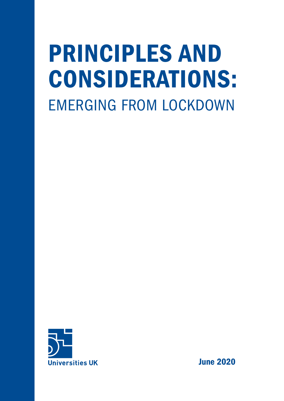# PRINCIPLES AND CONSIDERATIONS: EMERGING FROM LOCKDOWN



June 2020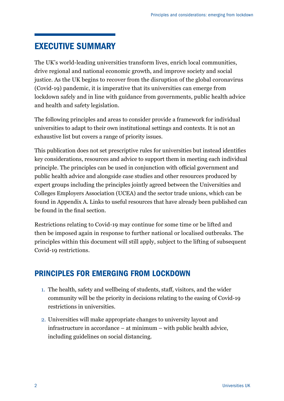# EXECUTIVE SUMMARY

The UK's world-leading universities transform lives, enrich local communities, drive regional and national economic growth, and improve society and social justice. As the UK begins to recover from the disruption of the global coronavirus (Covid-19) pandemic, it is imperative that its universities can emerge from lockdown safely and in line with guidance from governments, public health advice and health and safety legislation.

The following principles and areas to consider provide a framework for individual universities to adapt to their own institutional settings and contexts. It is not an exhaustive list but covers a range of priority issues.

This publication does not set prescriptive rules for universities but instead identifies key considerations, resources and advice to support them in meeting each individual principle. The principles can be used in conjunction with official government and public health advice and alongside case studies and other resources produced by expert groups including the principles jointly agreed between the Universities and Colleges Employers Association (UCEA) and the sector trade unions, which can be found in Appendix A. Links to useful resources that have already been published can be found in the final section.

Restrictions relating to Covid-19 may continue for some time or be lifted and then be imposed again in response to further national or localised outbreaks. The principles within this document will still apply, subject to the lifting of subsequent Covid-19 restrictions.

## PRINCIPLES FOR EMERGING FROM LOCKDOWN

- 1. The health, safety and wellbeing of students, staff, visitors, and the wider community will be the priority in decisions relating to the easing of Covid-19 restrictions in universities.
- 2. Universities will make appropriate changes to university layout and infrastructure in accordance – at minimum – with public health advice, including guidelines on social distancing.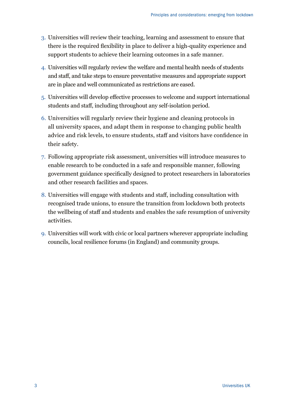- 3. Universities will review their teaching, learning and assessment to ensure that there is the required flexibility in place to deliver a high-quality experience and support students to achieve their learning outcomes in a safe manner.
- 4. Universities will regularly review the welfare and mental health needs of students and staff, and take steps to ensure preventative measures and appropriate support are in place and well communicated as restrictions are eased.
- 5. Universities will develop effective processes to welcome and support international students and staff, including throughout any self-isolation period.
- 6. Universities will regularly review their hygiene and cleaning protocols in all university spaces, and adapt them in response to changing public health advice and risk levels, to ensure students, staff and visitors have confidence in their safety.
- 7. Following appropriate risk assessment, universities will introduce measures to enable research to be conducted in a safe and responsible manner, following government guidance specifically designed to protect researchers in laboratories and other research facilities and spaces.
- 8. Universities will engage with students and staff, including consultation with recognised trade unions, to ensure the transition from lockdown both protects the wellbeing of staff and students and enables the safe resumption of university activities.
- 9. Universities will work with civic or local partners wherever appropriate including councils, local resilience forums (in England) and community groups.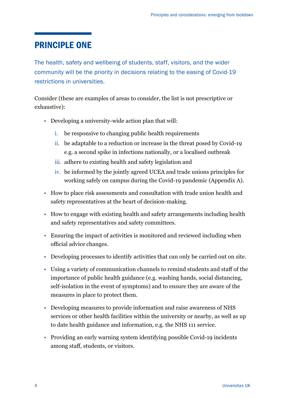## PRINCIPLE ONE

The health, safety and wellbeing of students, staff, visitors, and the wider community will be the priority in decisions relating to the easing of Covid-19 restrictions in universities.

- Developing a university-wide action plan that will:
	- i. be responsive to changing public health requirements
	- ii. be adaptable to a reduction or increase in the threat posed by Covid-19 e.g. a second spike in infections nationally, or a localised outbreak
	- iii. adhere to existing health and safety legislation and
	- iv. be informed by the jointly agreed UCEA and trade unions principles for working safely on campus during the Covid-19 pandemic (Appendix A).
- How to place risk assessments and consultation with trade union health and safety representatives at the heart of decision-making.
- How to engage with existing health and safety arrangements including health and safety representatives and safety committees.
- Ensuring the impact of activities is monitored and reviewed including when official advice changes.
- Developing processes to identify activities that can only be carried out on site.
- Using a variety of communication channels to remind students and staff of the importance of public health guidance (e.g. washing hands, social distancing, self-isolation in the event of symptoms) and to ensure they are aware of the measures in place to protect them.
- Developing measures to provide information and raise awareness of NHS services or other health facilities within the university or nearby, as well as up to date health guidance and information, e.g. the NHS 111 service.
- Providing an early warning system identifying possible Covid-19 incidents among staff, students, or visitors.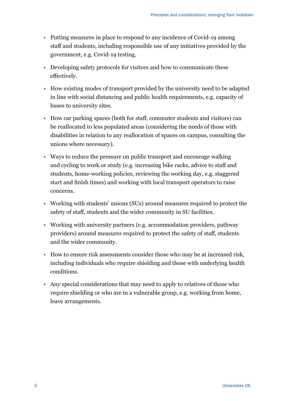- Putting measures in place to respond to any incidence of Covid-19 among staff and students, including responsible use of any initiatives provided by the government, e.g. Covid-19 testing.
- Developing safety protocols for visitors and how to communicate these effectively.
- How existing modes of transport provided by the university need to be adapted in line with social distancing and public health requirements, e.g. capacity of buses to university sites.
- How car parking spaces (both for staff, commuter students and visitors) can be reallocated to less populated areas (considering the needs of those with disabilities in relation to any reallocation of spaces on campus, consulting the unions where necessary).
- Ways to reduce the pressure on public transport and encourage walking and cycling to work or study (e.g. increasing bike racks, advice to staff and students, home-working policies, reviewing the working day, e.g. staggered start and finish times) and working with local transport operators to raise concerns.
- Working with students' unions (SUs) around measures required to protect the safety of staff, students and the wider community in SU facilities.
- Working with university partners (e.g. accommodation providers, pathway providers) around measures required to protect the safety of staff, students and the wider community.
- How to ensure risk assessments consider those who may be at increased risk, including individuals who require shielding and those with underlying health conditions.
- Any special considerations that may need to apply to relatives of those who require shielding or who are in a vulnerable group, e.g. working from home, leave arrangements.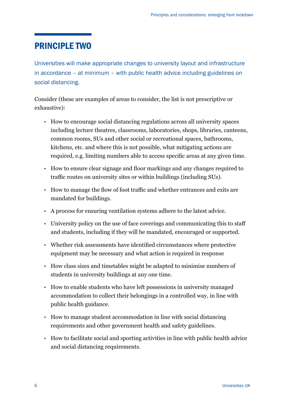# PRINCIPLE TWO

Universities will make appropriate changes to university layout and infrastructure in accordance – at minimum – with public health advice including guidelines on social distancing.

- How to encourage social distancing regulations across all university spaces including lecture theatres, classrooms, laboratories, shops, libraries, canteens, common rooms, SUs and other social or recreational spaces, bathrooms, kitchens, etc. and where this is not possible, what mitigating actions are required, e.g. limiting numbers able to access specific areas at any given time.
- How to ensure clear signage and floor markings and any changes required to traffic routes on university sites or within buildings (including SUs).
- How to manage the flow of foot traffic and whether entrances and exits are mandated for buildings.
- A process for ensuring ventilation systems adhere to the latest advice.
- University policy on the use of face coverings and communicating this to staff and students, including if they will be mandated, encouraged or supported.
- Whether risk assessments have identified circumstances where protective equipment may be necessary and what action is required in response
- How class sizes and timetables might be adapted to minimise numbers of students in university buildings at any one time.
- How to enable students who have left possessions in university managed accommodation to collect their belongings in a controlled way, in line with public health guidance.
- How to manage student accommodation in line with social distancing requirements and other government health and safety guidelines.
- How to facilitate social and sporting activities in line with public health advice and social distancing requirements.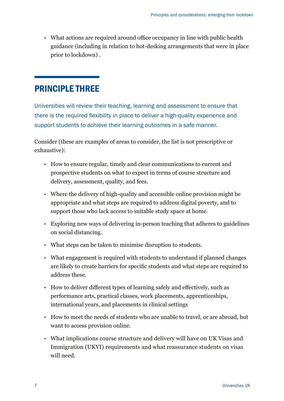• What actions are required around office occupancy in line with public health guidance (including in relation to hot-desking arrangements that were in place prior to lockdown) .

# PRINCIPLE THREE

Universities will review their teaching, learning and assessment to ensure that there is the required flexibility in place to deliver a high-quality experience and support students to achieve their learning outcomes in a safe manner.

- How to ensure regular, timely and clear communications to current and prospective students on what to expect in terms of course structure and delivery, assessment, quality, and fees.
- Where the delivery of high-quality and accessible online provision might be appropriate and what steps are required to address digital poverty, and to support those who lack access to suitable study space at home.
- Exploring new ways of delivering in-person teaching that adheres to guidelines on social distancing.
- What steps can be taken to minimise disruption to students.
- What engagement is required with students to understand if planned changes are likely to create barriers for specific students and what steps are required to address these.
- How to deliver different types of learning safely and effectively, such as performance arts, practical classes, work placements, apprenticeships, international years, and placements in clinical settings
- How to meet the needs of students who are unable to travel, or are abroad, but want to access provision online.
- What implications course structure and delivery will have on UK Visas and Immigration (UKVI) requirements and what reassurance students on visas will need.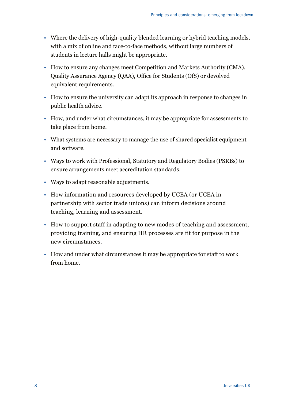- Where the delivery of high-quality blended learning or hybrid teaching models, with a mix of online and face-to-face methods, without large numbers of students in lecture halls might be appropriate.
- How to ensure any changes meet Competition and Markets Authority (CMA), Quality Assurance Agency (QAA), Office for Students (OfS) or devolved equivalent requirements.
- How to ensure the university can adapt its approach in response to changes in public health advice.
- How, and under what circumstances, it may be appropriate for assessments to take place from home.
- What systems are necessary to manage the use of shared specialist equipment and software.
- Ways to work with Professional, Statutory and Regulatory Bodies (PSRBs) to ensure arrangements meet accreditation standards.
- Ways to adapt reasonable adjustments.
- How information and resources developed by UCEA (or UCEA in partnership with sector trade unions) can inform decisions around teaching, learning and assessment.
- How to support staff in adapting to new modes of teaching and assessment, providing training, and ensuring HR processes are fit for purpose in the new circumstances.
- How and under what circumstances it may be appropriate for staff to work from home.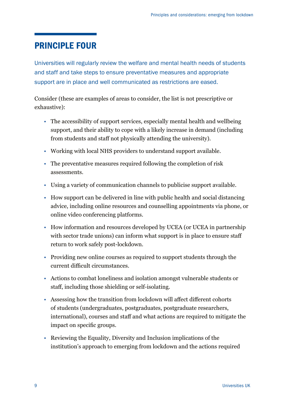## PRINCIPLE FOUR

Universities will regularly review the welfare and mental health needs of students and staff and take steps to ensure preventative measures and appropriate support are in place and well communicated as restrictions are eased.

- The accessibility of support services, especially mental health and wellbeing support, and their ability to cope with a likely increase in demand (including from students and staff not physically attending the university).
- Working with local NHS providers to understand support available.
- The preventative measures required following the completion of risk assessments.
- Using a variety of communication channels to publicise support available.
- How support can be delivered in line with public health and social distancing advice, including online resources and counselling appointments via phone, or online video conferencing platforms.
- How information and resources developed by UCEA (or UCEA in partnership with sector trade unions) can inform what support is in place to ensure staff return to work safely post-lockdown.
- Providing new online courses as required to support students through the current difficult circumstances.
- Actions to combat loneliness and isolation amongst vulnerable students or staff, including those shielding or self-isolating.
- Assessing how the transition from lockdown will affect different cohorts of students (undergraduates, postgraduates, postgraduate researchers, international), courses and staff and what actions are required to mitigate the impact on specific groups.
- Reviewing the Equality, Diversity and Inclusion implications of the institution's approach to emerging from lockdown and the actions required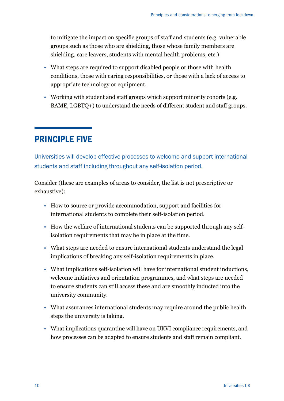to mitigate the impact on specific groups of staff and students (e.g. vulnerable groups such as those who are shielding, those whose family members are shielding, care leavers, students with mental health problems, etc.)

- What steps are required to support disabled people or those with health conditions, those with caring responsibilities, or those with a lack of access to appropriate technology or equipment.
- Working with student and staff groups which support minority cohorts (e.g. BAME, LGBTQ+) to understand the needs of different student and staff groups.

# PRINCIPLE FIVE

Universities will develop effective processes to welcome and support international students and staff including throughout any self-isolation period.

- How to source or provide accommodation, support and facilities for international students to complete their self-isolation period.
- How the welfare of international students can be supported through any selfisolation requirements that may be in place at the time.
- What steps are needed to ensure international students understand the legal implications of breaking any self-isolation requirements in place.
- What implications self-isolation will have for international student inductions, welcome initiatives and orientation programmes, and what steps are needed to ensure students can still access these and are smoothly inducted into the university community.
- What assurances international students may require around the public health steps the university is taking.
- What implications quarantine will have on UKVI compliance requirements, and how processes can be adapted to ensure students and staff remain compliant.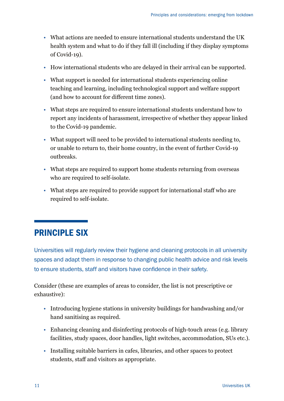- What actions are needed to ensure international students understand the UK health system and what to do if they fall ill (including if they display symptoms of Covid-19).
- How international students who are delayed in their arrival can be supported.
- What support is needed for international students experiencing online teaching and learning, including technological support and welfare support (and how to account for different time zones).
- What steps are required to ensure international students understand how to report any incidents of harassment, irrespective of whether they appear linked to the Covid-19 pandemic.
- What support will need to be provided to international students needing to, or unable to return to, their home country, in the event of further Covid-19 outbreaks.
- What steps are required to support home students returning from overseas who are required to self-isolate.
- What steps are required to provide support for international staff who are required to self-isolate.

# PRINCIPLE SIX

Universities will regularly review their hygiene and cleaning protocols in all university spaces and adapt them in response to changing public health advice and risk levels to ensure students, staff and visitors have confidence in their safety.

- Introducing hygiene stations in university buildings for handwashing and/or hand sanitising as required.
- Enhancing cleaning and disinfecting protocols of high-touch areas (e.g. library facilities, study spaces, door handles, light switches, accommodation, SUs etc.).
- Installing suitable barriers in cafes, libraries, and other spaces to protect students, staff and visitors as appropriate.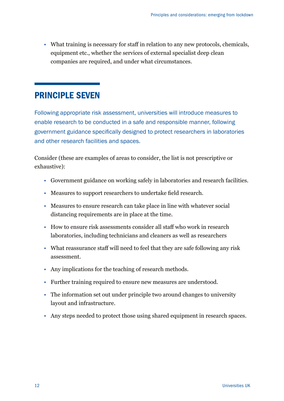• What training is necessary for staff in relation to any new protocols, chemicals, equipment etc., whether the services of external specialist deep clean companies are required, and under what circumstances.

## PRINCIPLE SEVEN

Following appropriate risk assessment, universities will introduce measures to enable research to be conducted in a safe and responsible manner, following government guidance specifically designed to protect researchers in laboratories and other research facilities and spaces.

- Government guidance on working safely in laboratories and research facilities.
- Measures to support researchers to undertake field research.
- Measures to ensure research can take place in line with whatever social distancing requirements are in place at the time.
- How to ensure risk assessments consider all staff who work in research laboratories, including technicians and cleaners as well as researchers
- What reassurance staff will need to feel that they are safe following any risk assessment.
- Any implications for the teaching of research methods.
- Further training required to ensure new measures are understood.
- The information set out under principle two around changes to university layout and infrastructure.
- Any steps needed to protect those using shared equipment in research spaces.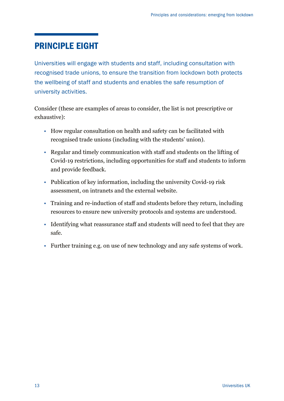# PRINCIPLE EIGHT

Universities will engage with students and staff, including consultation with recognised trade unions, to ensure the transition from lockdown both protects the wellbeing of staff and students and enables the safe resumption of university activities.

- How regular consultation on health and safety can be facilitated with recognised trade unions (including with the students' union).
- Regular and timely communication with staff and students on the lifting of Covid-19 restrictions, including opportunities for staff and students to inform and provide feedback.
- Publication of key information, including the university Covid-19 risk assessment, on intranets and the external website.
- Training and re-induction of staff and students before they return, including resources to ensure new university protocols and systems are understood.
- Identifying what reassurance staff and students will need to feel that they are safe.
- Further training e.g. on use of new technology and any safe systems of work.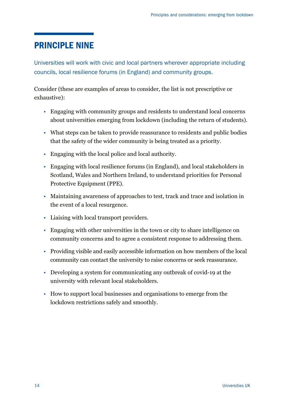# PRINCIPLE NINE

Universities will work with civic and local partners wherever appropriate including councils, local resilience forums (in England) and community groups.

- Engaging with community groups and residents to understand local concerns about universities emerging from lockdown (including the return of students).
- What steps can be taken to provide reassurance to residents and public bodies that the safety of the wider community is being treated as a priority.
- Engaging with the local police and local authority.
- Engaging with local resilience forums (in England), and local stakeholders in Scotland, Wales and Northern Ireland, to understand priorities for Personal Protective Equipment (PPE).
- Maintaining awareness of approaches to test, track and trace and isolation in the event of a local resurgence.
- Liaising with local transport providers.
- Engaging with other universities in the town or city to share intelligence on community concerns and to agree a consistent response to addressing them.
- Providing visible and easily accessible information on how members of the local community can contact the university to raise concerns or seek reassurance.
- Developing a system for communicating any outbreak of covid-19 at the university with relevant local stakeholders.
- How to support local businesses and organisations to emerge from the lockdown restrictions safely and smoothly.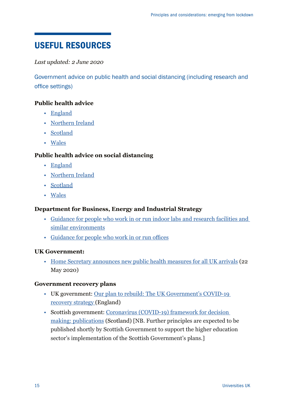# USEFUL RESOURCES

## *Last updated: 2 June 2020*

Government advice on public health and social distancing (including research and office settings)

## **Public health advice**

- [England](https://www.gov.uk/coronavirus)
- [Northern Ireland](https://www.nidirect.gov.uk/campaigns/coronavirus-covid-19)
- [Scotland](https://www.gov.scot/coronavirus-covid-19/)
- [Wales](https://gov.wales/coronavirus)

## **Public health advice on social distancing**

- [England](https://www.gov.uk/government/publications/staying-alert-and-safe-social-distancing/staying-alert-and-safe-social-distancing)
- [Northern Ireland](https://www.hseni.gov.uk/news/covid-19-safety-measures-advice-businesses)
- [Scotland](https://www.gov.scot/publications/coronavirus-covid-19-social-distancing-in-non-healthcare-public-services/)
- [Wales](https://gov.wales/coronavirus-social-distancing-guidance)

## **Department for Business, Energy and Industrial Strategy**

- [Guidance for people who work in or run indoor labs and research facilities and](https://www.gov.uk/guidance/working-safely-during-coronavirus-covid-19/labs-and-research-facilities)  [similar environments](https://www.gov.uk/guidance/working-safely-during-coronavirus-covid-19/labs-and-research-facilities)
- [Guidance for people who work in or run offices](https://www.gov.uk/guidance/working-safely-during-coronavirus-covid-19/offices-and-contact-centres)

## **UK Government:**

• [Home Secretary announces new public health measures for all UK arrivals](https://www.gov.uk/government/news/home-secretary-announces-new-public-health-measures-for-all-uk-arrivals) (22 May 2020)

#### **Government recovery plans**

- UK government: [Our plan to rebuild: The UK Government's COVID-19](https://www.gov.uk/government/publications/our-plan-to-rebuild-the-uk-governments-covid-19-recovery-strategy)  [recovery strategy](https://www.gov.uk/government/publications/our-plan-to-rebuild-the-uk-governments-covid-19-recovery-strategy) (England)
- Scottish government: [Coronavirus \(COVID-19\) framework for decision](https://www.gov.scot/publications/coronavirus-covid-19-framework-decision-making/)  [making: publications](https://www.gov.scot/publications/coronavirus-covid-19-framework-decision-making/) (Scotland) [NB. Further principles are expected to be published shortly by Scottish Government to support the higher education sector's implementation of the Scottish Government's plans.]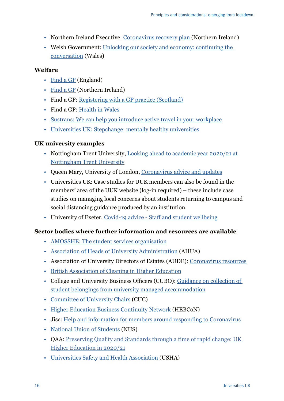- Northern Ireland Executive: [Coronavirus recovery plan](https://www.nidirect.gov.uk/sites/default/files/publications/OUR_APPROACH_DOCUMENT_SUMMARY_12-05-2020.pdf) (Northern Ireland)
- Welsh Government: [Unlocking our society and economy: continuing the](https://gov.wales/unlocking-our-society-and-economy-continuing-conversation)  [conversation](https://gov.wales/unlocking-our-society-and-economy-continuing-conversation) (Wales)

## **Welfare**

- [Find a GP](https://www.nhs.uk/service-search/find-a-gp) (England)
- [Find a GP](https://www.nidirect.gov.uk/services/gp-practices) (Northern Ireland)
- Find a GP: [Registering with a GP practice \(Scotland\)](https://www.nhsinform.scot/care-support-and-rights/nhs-services/doctors/registering-with-a-gp-practice)
- Find a GP: [Health in Wales](http://www.wales.nhs.uk/ourservices/directory/postcodesearch?pc=cf10+3at&gp=1&dist=2)
- [Sustrans: We can help you introduce active travel in your workplace](https://www.sustrans.org.uk/for-professionals/workplaces/)
- [Universities UK: Stepchange: mentally healthy universities](https://www.universitiesuk.ac.uk/stepchange-mhu)

## **UK university examples**

- Nottingham Trent University, Looking ahead to academic year 2020/21 at [Nottingham Trent University](https://www.ntu.ac.uk/about-us/news/news-articles/2020/05/looking-ahead-to-academic-year-2020-21)
- Queen Mary, University of London, [Coronavirus advice and updates](https://www.qmul.ac.uk/coronavirus/)
- Universities UK: Case studies for UUK members can also be found in the members' area of the UUK website (log-in required) – these include case studies on managing local concerns about students returning to campus and social distancing guidance produced by an institution.
- University of Exeter, [Covid-19 advice Staff and student wellbeing](http://www.exeter.ac.uk/coronavirus/wellbeing/)

## **Sector bodies where further information and resources are available**

- [AMOSSHE: The student services organisation](https://www.amosshe.org.uk/)
- [Association of Heads of University Administration](https://www.ahua.ac.uk/) (AHUA)
- Association of University Directors of Estates (AUDE): [Coronavirus resources](https://www.aude.ac.uk/Resources/News/View?g=73da95b8-b679-4fe3-84d2-bddde59a7f51&m=4&y=2020&t=Coronavirus%20resources)
- [British Association of Cleaning in Higher Education](http://www.bache.org.uk/page-18180)
- College and University Business Officers (CUBO): [Guidance on collection of](https://www.cubo.ac.uk/page/Student_Belongings)  [student belongings from university managed accommodation](https://www.cubo.ac.uk/page/Student_Belongings)
- [Committee of University Chairs](https://www.universitychairs.ac.uk/) (CUC)
- [Higher Education Business Continuity Network](https://www.hebcon.org/) (HEBCoN)
- Jisc: [Help and information for members around responding to Coronavirus](https://www.jisc.ac.uk/coronavirus)
- [National Union of Students](https://www.nus.org.uk/) (NUS)
- QAA: [Preserving Quality and Standards through a time of rapid change: UK](https://www.qaa.ac.uk/docs/qaa/guidance/preserving-quality-and-standards-through-a-time-of-rapid-change.pdf)  [Higher Education in 2020/21](https://www.qaa.ac.uk/docs/qaa/guidance/preserving-quality-and-standards-through-a-time-of-rapid-change.pdf)
- [Universities Safety and Health Association](https://usha.org.uk/) (USHA)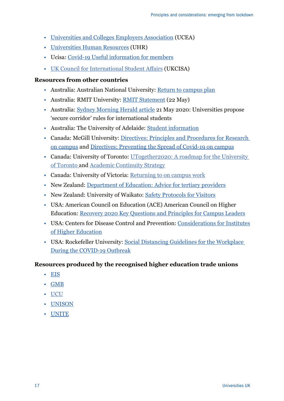- [Universities and Colleges Employers Association](https://www.ucea.ac.uk/) (UCEA)
- [Universities Human Resources](https://www.uhr.ac.uk/) (UHR)
- Ucisa: [Covid-19 Useful information for members](https://www.ucisa.ac.uk/COVID-19-information-for-members)
- [UK Council for International Student Affairs](https://www.ukcisa.org.uk/) (UKCISA)

## **Resources from other countries**

- Australia: Australian National University: [Return to campus plan](https://www.anu.edu.au/covid-19-advice/campus-community/return-to-campus)
- Australia: RMIT University: [RMIT Statement](https://www.rmit.edu.au/news/alerts/coronavirus) (22 May)
- Australia: [Sydney Morning Herald article](https://go8.edu.au/in-the-media-universities-propose-secure-corridor-rules-for-international-students) 21 May 2020: Universities propose 'secure corridor' rules for international students
- Australia: The University of Adelaide: [Student information](https://www.adelaide.edu.au/covid-19/student-information)
- Canada: McGill University: [Directives: Principles and Procedures for Research](https://mcgill.ca/coronavirus/resources/directives-principles-and-procedures-research-campus)  [on campus](https://mcgill.ca/coronavirus/resources/directives-principles-and-procedures-research-campus) and [Directives: Preventing the Spread of Covid-19 on campus](https://mcgill.ca/coronavirus/resources/directives-preventing-spread-covid-19-campus)
- Canada: University of Toronto: UTogether2020: A roadmap for the University [of Toronto](https://www.provost.utoronto.ca/planning-policy/utogether2020-a-roadmap-for-the-university-of-toronto/#guidebook) and [Academic Continuity Strategy](https://www.vpacademic.utoronto.ca/quality-assurance/workshops-presentations/academic-continuity/covid-19-academic-continuity-strategy-2020-2021/)
- Canada: University of Victoria: [Returning to on campus work](https://www.uvic.ca/covid-19/faculty-staff/work/index.php#oncampus)
- New Zealand: [Department of Education: Advice for tertiary providers](https://www.education.govt.nz/covid-19/advice-for-tertiary-providerswhare-wananga/)
- New Zealand: University of Waikato: [Safety Protocols for Visitors](https://www.waikato.ac.nz/covid-19/returning-on-site-during-covid-19-alert-level-2/returning-on-site-from-may-18-during-alert-level-2)
- USA: American Council on Education (ACE) American Council on Higher Education: [Recovery 2020 Key Questions and Principles for Campus Leaders](https://www.acenet.edu/Documents/Higher-Ed-Questions-to-Ask-about-the-Fall.pdf)
- USA: Centers for Disease Control and Prevention: [Considerations for Institutes](https://www.cdc.gov/coronavirus/2019-ncov/community/colleges-universities/considerations.html) [of Higher Education](https://www.cdc.gov/coronavirus/2019-ncov/community/colleges-universities/considerations.html)
- USA: Rockefeller University: [Social Distancing Guidelines for the Workplace](https://www.rockefeller.edu/coronavirus/social-distancing-guidelines/)  [During the COVID-19 Outbreak](https://www.rockefeller.edu/coronavirus/social-distancing-guidelines/)

## **Resources produced by the recognised higher education trade unions**

- [EIS](https://www.eis.org.uk/Health-And-Safety/COVID19)
- [GMB](https://www.gmb.org.uk/support-work/coronavirus)
- [UCU](https://www.ucu.org.uk/coronavirus)
- [UNISON](https://www.unison.org.uk/coronavirus-rights-work/)
- [UNITE](https://unitetheunion.org/campaigns/coronavirus-covid-19-advice/)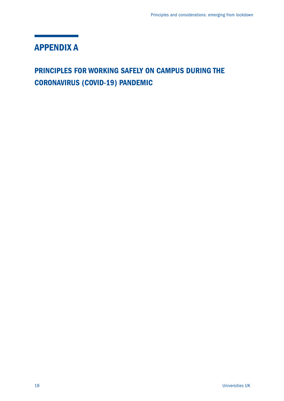# APPENDIX A

# PRINCIPLES FOR WORKING SAFELY ON CAMPUS DURING THE CORONAVIRUS (COVID-19) PANDEMIC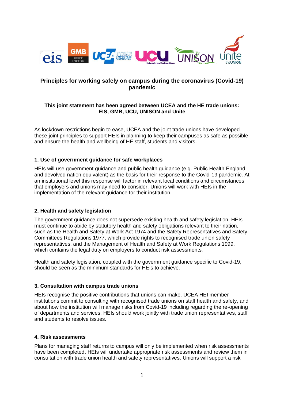

#### **Principles for working safely on campus during the coronavirus (Covid-19) pandemic**

#### **This joint statement has been agreed between UCEA and the HE trade unions: EIS, GMB, UCU, UNISON and Unite**

As lockdown restrictions begin to ease, UCEA and the joint trade unions have developed these joint principles to support HEIs in planning to keep their campuses as safe as possible and ensure the health and wellbeing of HE staff, students and visitors.

#### **1. Use of government guidance for safe workplaces**

HEIs will use government guidance and public health guidance (e.g. Public Health England and devolved nation equivalent) as the basis for their response to the Covid-19 pandemic. At an institutional level this response will factor in relevant local conditions and circumstances that employers and unions may need to consider. Unions will work with HEIs in the implementation of the relevant guidance for their institution.

#### **2. Health and safety legislation**

The government guidance does not supersede existing health and safety legislation. HEIs must continue to abide by statutory health and safety obligations relevant to their nation, such as the Health and Safety at Work Act 1974 and the Safety Representatives and Safety Committees Regulations 1977, which provide rights to recognised trade union safety representatives, and the Management of Health and Safety at Work Regulations 1999, which contains the legal duty on employers to conduct risk assessments.

Health and safety legislation, coupled with the government guidance specific to Covid-19, should be seen as the minimum standards for HEIs to achieve.

#### **3. Consultation with campus trade unions**

HEIs recognise the positive contributions that unions can make. UCEA HEI member institutions commit to consulting with recognised trade unions on staff health and safety, and about how the institution will manage risks from Covid-19 including regarding the re-opening of departments and services. HEIs should work jointly with trade union representatives, staff and students to resolve issues.

#### **4. Risk assessments**

Plans for managing staff returns to campus will only be implemented when risk assessments have been completed. HEIs will undertake appropriate risk assessments and review them in consultation with trade union health and safety representatives. Unions will support a risk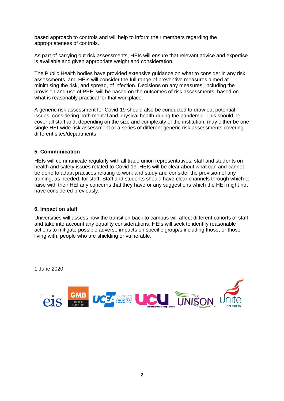based approach to controls and will help to inform their members regarding the appropriateness of controls.

As part of carrying out risk assessments, HEIs will ensure that relevant advice and expertise is available and given appropriate weight and consideration.

The Public Health bodies have provided extensive guidance on what to consider in any risk assessments, and HEIs will consider the full range of preventive measures aimed at minimising the risk, and spread, of infection. Decisions on any measures, including the provision and use of PPE, will be based on the outcomes of risk assessments, based on what is reasonably practical for that workplace.

A generic risk assessment for Covid-19 should also be conducted to draw out potential issues, considering both mental and physical health during the pandemic. This should be cover all staff and, depending on the size and complexity of the institution, may either be one single HEI-wide risk assessment or a series of different generic risk assessments covering different sites/departments.

#### **5. Communication**

HEIs will communicate regularly with all trade union representatives, staff and students on health and safety issues related to Covid-19. HEIs will be clear about what can and cannot be done to adapt practices relating to work and study and consider the provision of any training, as needed, for staff. Staff and students should have clear channels through which to raise with their HEI any concerns that they have or any suggestions which the HEI might not have considered previously.

#### **6. Impact on staff**

Universities will assess how the transition back to campus will affect different cohorts of staff and take into account any equality considerations. HEIs will seek to identify reasonable actions to mitigate possible adverse impacts on specific group/s including those, or those living with, people who are shielding or vulnerable.

1 June 2020